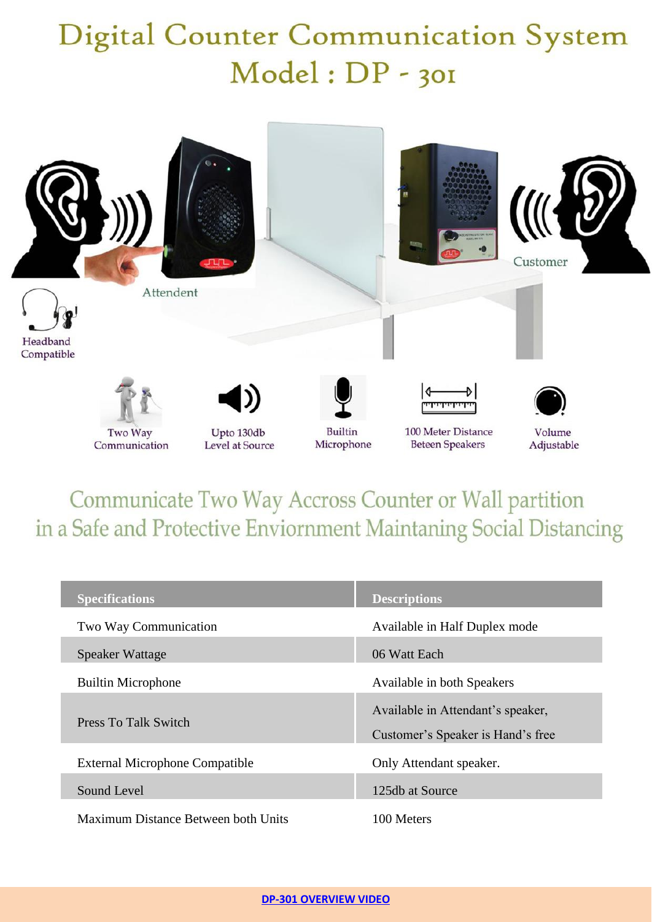## **Digital Counter Communication System** Model: DP - 301



Communicate Two Way Accross Counter or Wall partition in a Safe and Protective Enviornment Maintaning Social Distancing

| <b>Specifications</b>                 | <b>Descriptions</b>                                                    |
|---------------------------------------|------------------------------------------------------------------------|
| Two Way Communication                 | Available in Half Duplex mode                                          |
| Speaker Wattage                       | 06 Watt Each                                                           |
| <b>Builtin Microphone</b>             | Available in both Speakers                                             |
| Press To Talk Switch                  | Available in Attendant's speaker,<br>Customer's Speaker is Hand's free |
| <b>External Microphone Compatible</b> | Only Attendant speaker.                                                |
| Sound Level                           | 125db at Source                                                        |
| Maximum Distance Between both Units   | 100 Meters                                                             |